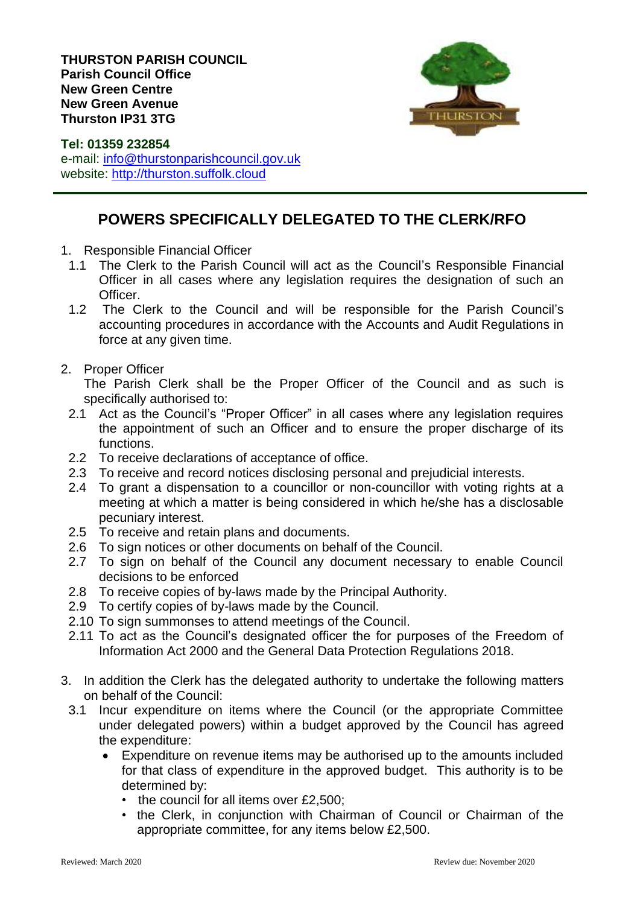

**Tel: 01359 232854** e-mail: [info@thurstonparishcouncil.gov.uk](mailto:info@thurstonparishcouncil.gov.uk) website: [http://thurston.suffolk.cloud](http://thurston.suffolk.cloud/)

## **POWERS SPECIFICALLY DELEGATED TO THE CLERK/RFO**

- 1. Responsible Financial Officer
- 1.1 The Clerk to the Parish Council will act as the Council's Responsible Financial Officer in all cases where any legislation requires the designation of such an Officer.
- 1.2 The Clerk to the Council and will be responsible for the Parish Council's accounting procedures in accordance with the Accounts and Audit Regulations in force at any given time.
- 2. Proper Officer

The Parish Clerk shall be the Proper Officer of the Council and as such is specifically authorised to:

- 2.1 Act as the Council's "Proper Officer" in all cases where any legislation requires the appointment of such an Officer and to ensure the proper discharge of its functions.
- 2.2 To receive declarations of acceptance of office.
- 2.3 To receive and record notices disclosing personal and prejudicial interests.
- 2.4 To grant a dispensation to a councillor or non-councillor with voting rights at a meeting at which a matter is being considered in which he/she has a disclosable pecuniary interest.
- 2.5 To receive and retain plans and documents.
- 2.6 To sign notices or other documents on behalf of the Council.
- 2.7 To sign on behalf of the Council any document necessary to enable Council decisions to be enforced
- 2.8 To receive copies of by-laws made by the Principal Authority.
- 2.9 To certify copies of by-laws made by the Council.
- 2.10 To sign summonses to attend meetings of the Council.
- 2.11 To act as the Council's designated officer the for purposes of the Freedom of Information Act 2000 and the General Data Protection Regulations 2018.
- 3. In addition the Clerk has the delegated authority to undertake the following matters on behalf of the Council:
	- 3.1 Incur expenditure on items where the Council (or the appropriate Committee under delegated powers) within a budget approved by the Council has agreed the expenditure:
		- Expenditure on revenue items may be authorised up to the amounts included for that class of expenditure in the approved budget. This authority is to be determined by:
			- the council for all items over £2,500;
			- the Clerk, in conjunction with Chairman of Council or Chairman of the appropriate committee, for any items below £2,500.